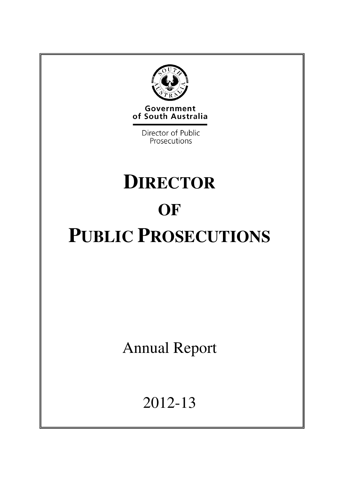

**Government**<br>of South Australia

Director of Public Prosecutions

# **DIRECTOR OF PUBLIC PROSECUTIONS**

Annual Report

2012-13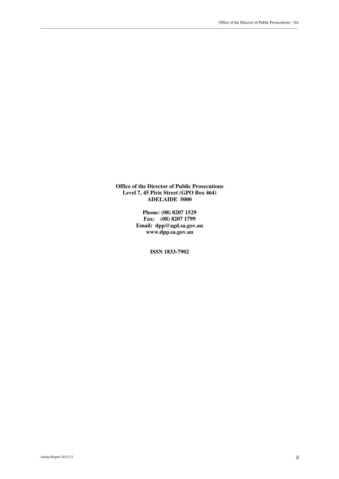**Office of the Director of Public Prosecutions Level 7, 45 Pirie Street (GPO Box 464) ADELAIDE 5000** 

\_\_\_\_\_\_\_\_\_\_\_\_\_\_\_\_\_\_\_\_\_\_\_\_\_\_\_\_\_\_\_\_\_\_\_\_\_\_\_\_\_\_\_\_\_\_\_\_\_\_\_\_\_\_\_\_\_\_\_\_\_\_\_\_\_\_\_\_\_\_\_\_\_\_\_\_\_\_\_\_\_\_\_\_\_\_\_\_\_\_\_\_\_\_\_\_\_\_\_\_\_\_\_\_\_\_\_\_\_\_\_\_\_\_\_\_\_\_\_\_\_\_\_\_\_\_\_\_\_

**Phone: (08) 8207 1529 Fax: (08) 8207 1799 Email: dpp@agd.sa.gov.au www.dpp.sa.gov.au** 

**ISSN 1833-7902**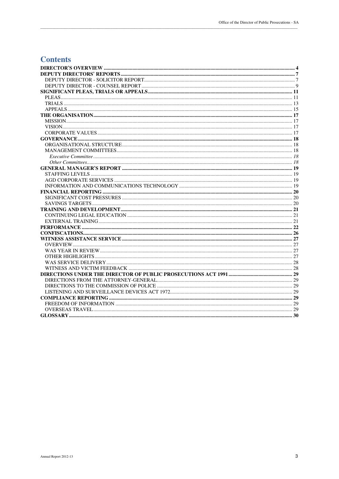# **Contents**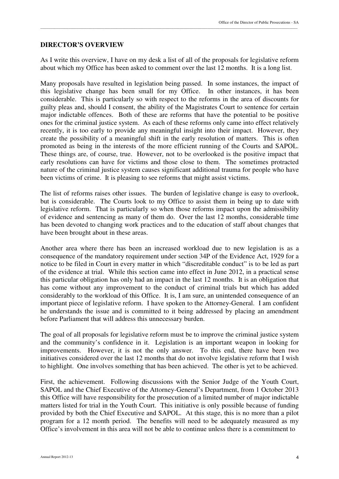#### **DIRECTOR'S OVERVIEW**

As I write this overview, I have on my desk a list of all of the proposals for legislative reform about which my Office has been asked to comment over the last 12 months. It is a long list.

\_\_\_\_\_\_\_\_\_\_\_\_\_\_\_\_\_\_\_\_\_\_\_\_\_\_\_\_\_\_\_\_\_\_\_\_\_\_\_\_\_\_\_\_\_\_\_\_\_\_\_\_\_\_\_\_\_\_\_\_\_\_\_\_\_\_\_\_\_\_\_\_\_\_\_\_\_\_\_\_\_\_\_\_\_\_\_\_\_\_\_\_\_\_\_\_\_\_\_\_\_\_\_\_\_\_\_\_\_\_\_\_\_\_\_\_\_\_\_\_\_\_\_\_\_\_\_\_\_

Many proposals have resulted in legislation being passed. In some instances, the impact of this legislative change has been small for my Office. In other instances, it has been considerable. This is particularly so with respect to the reforms in the area of discounts for guilty pleas and, should I consent, the ability of the Magistrates Court to sentence for certain major indictable offences. Both of these are reforms that have the potential to be positive ones for the criminal justice system. As each of these reforms only came into effect relatively recently, it is too early to provide any meaningful insight into their impact. However, they create the possibility of a meaningful shift in the early resolution of matters. This is often promoted as being in the interests of the more efficient running of the Courts and SAPOL. These things are, of course, true. However, not to be overlooked is the positive impact that early resolutions can have for victims and those close to them. The sometimes protracted nature of the criminal justice system causes significant additional trauma for people who have been victims of crime. It is pleasing to see reforms that might assist victims.

The list of reforms raises other issues. The burden of legislative change is easy to overlook, but is considerable. The Courts look to my Office to assist them in being up to date with legislative reform. That is particularly so when those reforms impact upon the admissibility of evidence and sentencing as many of them do. Over the last 12 months, considerable time has been devoted to changing work practices and to the education of staff about changes that have been brought about in these areas.

Another area where there has been an increased workload due to new legislation is as a consequence of the mandatory requirement under section 34P of the Evidence Act, 1929 for a notice to be filed in Court in every matter in which "discreditable conduct" is to be led as part of the evidence at trial. While this section came into effect in June 2012, in a practical sense this particular obligation has only had an impact in the last 12 months. It is an obligation that has come without any improvement to the conduct of criminal trials but which has added considerably to the workload of this Office. It is, I am sure, an unintended consequence of an important piece of legislative reform. I have spoken to the Attorney-General. I am confident he understands the issue and is committed to it being addressed by placing an amendment before Parliament that will address this unnecessary burden.

The goal of all proposals for legislative reform must be to improve the criminal justice system and the community's confidence in it. Legislation is an important weapon in looking for improvements. However, it is not the only answer. To this end, there have been two initiatives considered over the last 12 months that do not involve legislative reform that I wish to highlight. One involves something that has been achieved. The other is yet to be achieved.

First, the achievement. Following discussions with the Senior Judge of the Youth Court, SAPOL and the Chief Executive of the Attorney-General's Department, from 1 October 2013 this Office will have responsibility for the prosecution of a limited number of major indictable matters listed for trial in the Youth Court. This initiative is only possible because of funding provided by both the Chief Executive and SAPOL. At this stage, this is no more than a pilot program for a 12 month period. The benefits will need to be adequately measured as my Office's involvement in this area will not be able to continue unless there is a commitment to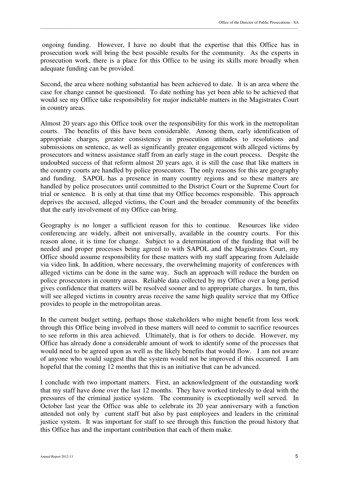ongoing funding. However, I have no doubt that the expertise that this Office has in prosecution work will bring the best possible results for the community. As the experts in prosecution work, there is a place for this Office to be using its skills more broadly when adequate funding can be provided.

\_\_\_\_\_\_\_\_\_\_\_\_\_\_\_\_\_\_\_\_\_\_\_\_\_\_\_\_\_\_\_\_\_\_\_\_\_\_\_\_\_\_\_\_\_\_\_\_\_\_\_\_\_\_\_\_\_\_\_\_\_\_\_\_\_\_\_\_\_\_\_\_\_\_\_\_\_\_\_\_\_\_\_\_\_\_\_\_\_\_\_\_\_\_\_\_\_\_\_\_\_\_\_\_\_\_\_\_\_\_\_\_\_\_\_\_\_\_\_\_\_\_\_\_\_\_\_\_\_

Second, the area where nothing substantial has been achieved to date. It is an area where the case for change cannot be questioned. To date nothing has yet been able to be achieved that would see my Office take responsibility for major indictable matters in the Magistrates Court in country areas.

Almost 20 years ago this Office took over the responsibility for this work in the metropolitan courts. The benefits of this have been considerable. Among them, early identification of appropriate charges, greater consistency in prosecution attitudes to resolutions and submissions on sentence, as well as significantly greater engagement with alleged victims by prosecutors and witness assistance staff from an early stage in the court process. Despite the undoubted success of that reform almost 20 years ago, it is still the case that like matters in the country courts are handled by police prosecutors. The only reasons for this are geography and funding. SAPOL has a presence in many country regions and so these matters are handled by police prosecutors until committed to the District Court or the Supreme Court for trial or sentence. It is only at that time that my Office becomes responsible. This approach deprives the accused, alleged victims, the Court and the broader community of the benefits that the early involvement of my Office can bring.

Geography is no longer a sufficient reason for this to continue. Resources like video conferencing are widely, albeit not universally, available in the country courts. For this reason alone, it is time for change. Subject to a determination of the funding that will be needed and proper processes being agreed to with SAPOL and the Magistrates Court, my Office should assume responsibility for these matters with my staff appearing from Adelaide via video link. In addition, where necessary, the overwhelming majority of conferences with alleged victims can be done in the same way. Such an approach will reduce the burden on police prosecutors in country areas. Reliable data collected by my Office over a long period gives confidence that matters will be resolved sooner and to appropriate charges. In turn, this will see alleged victims in country areas receive the same high quality service that my Office provides to people in the metropolitan areas.

In the current budget setting, perhaps those stakeholders who might benefit from less work through this Office being involved in these matters will need to commit to sacrifice resources to see reform in this area achieved. Ultimately, that is for others to decide. However, my Office has already done a considerable amount of work to identify some of the processes that would need to be agreed upon as well as the likely benefits that would flow. I am not aware of anyone who would suggest that the system would not be improved if this occurred. I am hopeful that the coming 12 months that this is an initiative that can be advanced.

I conclude with two important matters. First, an acknowledgment of the outstanding work that my staff have done over the last 12 months. They have worked tirelessly to deal with the pressures of the criminal justice system. The community is exceptionally well served. In October last year the Office was able to celebrate its 20 year anniversary with a function attended not only by current staff but also by past employees and leaders in the criminal justice system. It was important for staff to see through this function the proud history that this Office has and the important contribution that each of them make.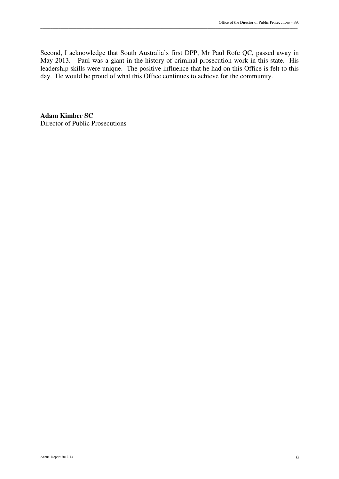Second, I acknowledge that South Australia's first DPP, Mr Paul Rofe QC, passed away in May 2013. Paul was a giant in the history of criminal prosecution work in this state. His leadership skills were unique. The positive influence that he had on this Office is felt to this day. He would be proud of what this Office continues to achieve for the community.

\_\_\_\_\_\_\_\_\_\_\_\_\_\_\_\_\_\_\_\_\_\_\_\_\_\_\_\_\_\_\_\_\_\_\_\_\_\_\_\_\_\_\_\_\_\_\_\_\_\_\_\_\_\_\_\_\_\_\_\_\_\_\_\_\_\_\_\_\_\_\_\_\_\_\_\_\_\_\_\_\_\_\_\_\_\_\_\_\_\_\_\_\_\_\_\_\_\_\_\_\_\_\_\_\_\_\_\_\_\_\_\_\_\_\_\_\_\_\_\_\_\_\_\_\_\_\_\_\_

**Adam Kimber SC**  Director of Public Prosecutions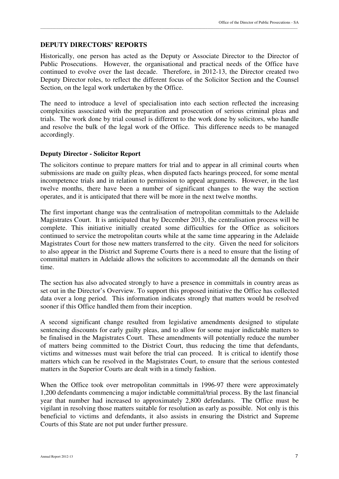#### **DEPUTY DIRECTORS' REPORTS**

Historically, one person has acted as the Deputy or Associate Director to the Director of Public Prosecutions. However, the organisational and practical needs of the Office have continued to evolve over the last decade. Therefore, in 2012-13, the Director created two Deputy Director roles, to reflect the different focus of the Solicitor Section and the Counsel Section, on the legal work undertaken by the Office.

\_\_\_\_\_\_\_\_\_\_\_\_\_\_\_\_\_\_\_\_\_\_\_\_\_\_\_\_\_\_\_\_\_\_\_\_\_\_\_\_\_\_\_\_\_\_\_\_\_\_\_\_\_\_\_\_\_\_\_\_\_\_\_\_\_\_\_\_\_\_\_\_\_\_\_\_\_\_\_\_\_\_\_\_\_\_\_\_\_\_\_\_\_\_\_\_\_\_\_\_\_\_\_\_\_\_\_\_\_\_\_\_\_\_\_\_\_\_\_\_\_\_\_\_\_\_\_\_\_

The need to introduce a level of specialisation into each section reflected the increasing complexities associated with the preparation and prosecution of serious criminal pleas and trials. The work done by trial counsel is different to the work done by solicitors, who handle and resolve the bulk of the legal work of the Office. This difference needs to be managed accordingly.

#### **Deputy Director - Solicitor Report**

The solicitors continue to prepare matters for trial and to appear in all criminal courts when submissions are made on guilty pleas, when disputed facts hearings proceed, for some mental incompetence trials and in relation to permission to appeal arguments. However, in the last twelve months, there have been a number of significant changes to the way the section operates, and it is anticipated that there will be more in the next twelve months.

The first important change was the centralisation of metropolitan committals to the Adelaide Magistrates Court. It is anticipated that by December 2013, the centralisation process will be complete. This initiative initially created some difficulties for the Office as solicitors continued to service the metropolitan courts while at the same time appearing in the Adelaide Magistrates Court for those new matters transferred to the city. Given the need for solicitors to also appear in the District and Supreme Courts there is a need to ensure that the listing of committal matters in Adelaide allows the solicitors to accommodate all the demands on their time.

The section has also advocated strongly to have a presence in committals in country areas as set out in the Director's Overview. To support this proposed initiative the Office has collected data over a long period. This information indicates strongly that matters would be resolved sooner if this Office handled them from their inception.

A second significant change resulted from legislative amendments designed to stipulate sentencing discounts for early guilty pleas, and to allow for some major indictable matters to be finalised in the Magistrates Court. These amendments will potentially reduce the number of matters being committed to the District Court, thus reducing the time that defendants, victims and witnesses must wait before the trial can proceed. It is critical to identify those matters which can be resolved in the Magistrates Court, to ensure that the serious contested matters in the Superior Courts are dealt with in a timely fashion.

When the Office took over metropolitan committals in 1996-97 there were approximately 1,200 defendants commencing a major indictable committal/trial process. By the last financial year that number had increased to approximately 2,800 defendants. The Office must be vigilant in resolving those matters suitable for resolution as early as possible. Not only is this beneficial to victims and defendants, it also assists in ensuring the District and Supreme Courts of this State are not put under further pressure.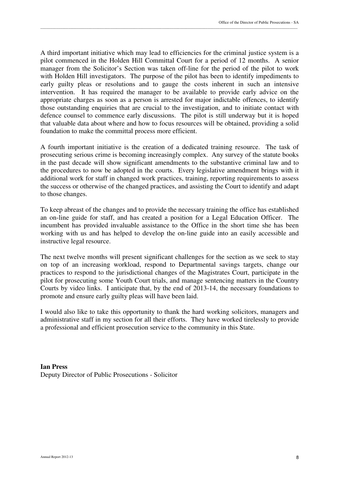A third important initiative which may lead to efficiencies for the criminal justice system is a pilot commenced in the Holden Hill Committal Court for a period of 12 months. A senior manager from the Solicitor's Section was taken off-line for the period of the pilot to work with Holden Hill investigators. The purpose of the pilot has been to identify impediments to early guilty pleas or resolutions and to gauge the costs inherent in such an intensive intervention. It has required the manager to be available to provide early advice on the appropriate charges as soon as a person is arrested for major indictable offences, to identify those outstanding enquiries that are crucial to the investigation, and to initiate contact with defence counsel to commence early discussions. The pilot is still underway but it is hoped that valuable data about where and how to focus resources will be obtained, providing a solid foundation to make the committal process more efficient.

\_\_\_\_\_\_\_\_\_\_\_\_\_\_\_\_\_\_\_\_\_\_\_\_\_\_\_\_\_\_\_\_\_\_\_\_\_\_\_\_\_\_\_\_\_\_\_\_\_\_\_\_\_\_\_\_\_\_\_\_\_\_\_\_\_\_\_\_\_\_\_\_\_\_\_\_\_\_\_\_\_\_\_\_\_\_\_\_\_\_\_\_\_\_\_\_\_\_\_\_\_\_\_\_\_\_\_\_\_\_\_\_\_\_\_\_\_\_\_\_\_\_\_\_\_\_\_\_\_

A fourth important initiative is the creation of a dedicated training resource. The task of prosecuting serious crime is becoming increasingly complex. Any survey of the statute books in the past decade will show significant amendments to the substantive criminal law and to the procedures to now be adopted in the courts. Every legislative amendment brings with it additional work for staff in changed work practices, training, reporting requirements to assess the success or otherwise of the changed practices, and assisting the Court to identify and adapt to those changes.

To keep abreast of the changes and to provide the necessary training the office has established an on-line guide for staff, and has created a position for a Legal Education Officer. The incumbent has provided invaluable assistance to the Office in the short time she has been working with us and has helped to develop the on-line guide into an easily accessible and instructive legal resource.

The next twelve months will present significant challenges for the section as we seek to stay on top of an increasing workload, respond to Departmental savings targets, change our practices to respond to the jurisdictional changes of the Magistrates Court, participate in the pilot for prosecuting some Youth Court trials, and manage sentencing matters in the Country Courts by video links. I anticipate that, by the end of 2013-14, the necessary foundations to promote and ensure early guilty pleas will have been laid.

I would also like to take this opportunity to thank the hard working solicitors, managers and administrative staff in my section for all their efforts. They have worked tirelessly to provide a professional and efficient prosecution service to the community in this State.

**Ian Press**  Deputy Director of Public Prosecutions - Solicitor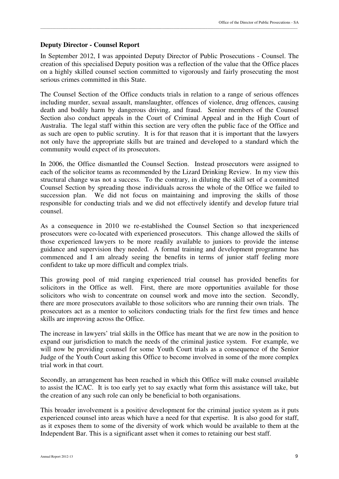#### **Deputy Director - Counsel Report**

In September 2012, I was appointed Deputy Director of Public Prosecutions - Counsel. The creation of this specialised Deputy position was a reflection of the value that the Office places on a highly skilled counsel section committed to vigorously and fairly prosecuting the most serious crimes committed in this State.

\_\_\_\_\_\_\_\_\_\_\_\_\_\_\_\_\_\_\_\_\_\_\_\_\_\_\_\_\_\_\_\_\_\_\_\_\_\_\_\_\_\_\_\_\_\_\_\_\_\_\_\_\_\_\_\_\_\_\_\_\_\_\_\_\_\_\_\_\_\_\_\_\_\_\_\_\_\_\_\_\_\_\_\_\_\_\_\_\_\_\_\_\_\_\_\_\_\_\_\_\_\_\_\_\_\_\_\_\_\_\_\_\_\_\_\_\_\_\_\_\_\_\_\_\_\_\_\_\_

The Counsel Section of the Office conducts trials in relation to a range of serious offences including murder, sexual assault, manslaughter, offences of violence, drug offences, causing death and bodily harm by dangerous driving, and fraud. Senior members of the Counsel Section also conduct appeals in the Court of Criminal Appeal and in the High Court of Australia. The legal staff within this section are very often the public face of the Office and as such are open to public scrutiny. It is for that reason that it is important that the lawyers not only have the appropriate skills but are trained and developed to a standard which the community would expect of its prosecutors.

In 2006, the Office dismantled the Counsel Section. Instead prosecutors were assigned to each of the solicitor teams as recommended by the Lizard Drinking Review. In my view this structural change was not a success. To the contrary, in diluting the skill set of a committed Counsel Section by spreading those individuals across the whole of the Office we failed to succession plan. We did not focus on maintaining and improving the skills of those responsible for conducting trials and we did not effectively identify and develop future trial counsel.

As a consequence in 2010 we re-established the Counsel Section so that inexperienced prosecutors were co-located with experienced prosecutors. This change allowed the skills of those experienced lawyers to be more readily available to juniors to provide the intense guidance and supervision they needed. A formal training and development programme has commenced and I am already seeing the benefits in terms of junior staff feeling more confident to take up more difficult and complex trials.

This growing pool of mid ranging experienced trial counsel has provided benefits for solicitors in the Office as well. First, there are more opportunities available for those solicitors who wish to concentrate on counsel work and move into the section. Secondly, there are more prosecutors available to those solicitors who are running their own trials. The prosecutors act as a mentor to solicitors conducting trials for the first few times and hence skills are improving across the Office.

The increase in lawyers' trial skills in the Office has meant that we are now in the position to expand our jurisdiction to match the needs of the criminal justice system. For example, we will now be providing counsel for some Youth Court trials as a consequence of the Senior Judge of the Youth Court asking this Office to become involved in some of the more complex trial work in that court.

Secondly, an arrangement has been reached in which this Office will make counsel available to assist the ICAC. It is too early yet to say exactly what form this assistance will take, but the creation of any such role can only be beneficial to both organisations.

This broader involvement is a positive development for the criminal justice system as it puts experienced counsel into areas which have a need for that expertise. It is also good for staff, as it exposes them to some of the diversity of work which would be available to them at the Independent Bar. This is a significant asset when it comes to retaining our best staff.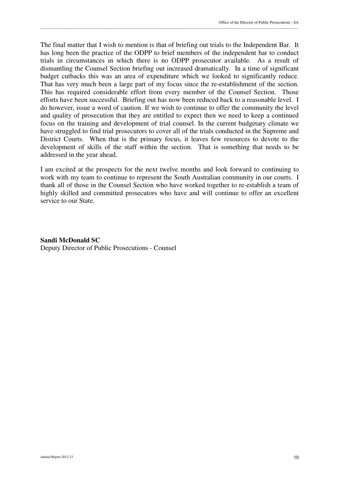The final matter that I wish to mention is that of briefing out trials to the Independent Bar. It has long been the practice of the ODPP to brief members of the independent bar to conduct trials in circumstances in which there is no ODPP prosecutor available. As a result of dismantling the Counsel Section briefing out increased dramatically. In a time of significant budget cutbacks this was an area of expenditure which we looked to significantly reduce. That has very much been a large part of my focus since the re-establishment of the section. This has required considerable effort from every member of the Counsel Section. Those efforts have been successful. Briefing out has now been reduced back to a reasonable level. I do however, issue a word of caution. If we wish to continue to offer the community the level and quality of prosecution that they are entitled to expect then we need to keep a continued focus on the training and development of trial counsel. In the current budgetary climate we have struggled to find trial prosecutors to cover all of the trials conducted in the Supreme and District Courts. When that is the primary focus, it leaves few resources to devote to the development of skills of the staff within the section. That is something that needs to be addressed in the year ahead.

\_\_\_\_\_\_\_\_\_\_\_\_\_\_\_\_\_\_\_\_\_\_\_\_\_\_\_\_\_\_\_\_\_\_\_\_\_\_\_\_\_\_\_\_\_\_\_\_\_\_\_\_\_\_\_\_\_\_\_\_\_\_\_\_\_\_\_\_\_\_\_\_\_\_\_\_\_\_\_\_\_\_\_\_\_\_\_\_\_\_\_\_\_\_\_\_\_\_\_\_\_\_\_\_\_\_\_\_\_\_\_\_\_\_\_\_\_\_\_\_\_\_\_\_\_\_\_\_\_

I am excited at the prospects for the next twelve months and look forward to continuing to work with my team to continue to represent the South Australian community in our courts. I thank all of those in the Counsel Section who have worked together to re-establish a team of highly skilled and committed prosecutors who have and will continue to offer an excellent service to our State.

**Sandi McDonald SC**  Deputy Director of Public Prosecutions - Counsel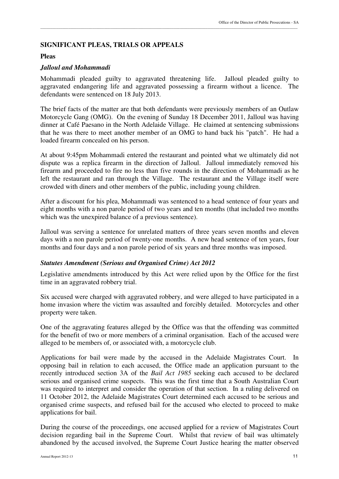#### **SIGNIFICANT PLEAS, TRIALS OR APPEALS**

#### **Pleas**

#### *Jalloul and Mohammadi*

Mohammadi pleaded guilty to aggravated threatening life. Jalloul pleaded guilty to aggravated endangering life and aggravated possessing a firearm without a licence. The defendants were sentenced on 18 July 2013.

\_\_\_\_\_\_\_\_\_\_\_\_\_\_\_\_\_\_\_\_\_\_\_\_\_\_\_\_\_\_\_\_\_\_\_\_\_\_\_\_\_\_\_\_\_\_\_\_\_\_\_\_\_\_\_\_\_\_\_\_\_\_\_\_\_\_\_\_\_\_\_\_\_\_\_\_\_\_\_\_\_\_\_\_\_\_\_\_\_\_\_\_\_\_\_\_\_\_\_\_\_\_\_\_\_\_\_\_\_\_\_\_\_\_\_\_\_\_\_\_\_\_\_\_\_\_\_\_\_

The brief facts of the matter are that both defendants were previously members of an Outlaw Motorcycle Gang (OMG). On the evening of Sunday 18 December 2011, Jalloul was having dinner at Café Paesano in the North Adelaide Village. He claimed at sentencing submissions that he was there to meet another member of an OMG to hand back his "patch". He had a loaded firearm concealed on his person.

At about 9:45pm Mohammadi entered the restaurant and pointed what we ultimately did not dispute was a replica firearm in the direction of Jalloul. Jalloul immediately removed his firearm and proceeded to fire no less than five rounds in the direction of Mohammadi as he left the restaurant and ran through the Village. The restaurant and the Village itself were crowded with diners and other members of the public, including young children.

After a discount for his plea, Mohammadi was sentenced to a head sentence of four years and eight months with a non parole period of two years and ten months (that included two months which was the unexpired balance of a previous sentence).

Jalloul was serving a sentence for unrelated matters of three years seven months and eleven days with a non parole period of twenty-one months. A new head sentence of ten years, four months and four days and a non parole period of six years and three months was imposed.

#### *Statutes Amendment (Serious and Organised Crime) Act 2012*

Legislative amendments introduced by this Act were relied upon by the Office for the first time in an aggravated robbery trial.

Six accused were charged with aggravated robbery, and were alleged to have participated in a home invasion where the victim was assaulted and forcibly detailed. Motorcycles and other property were taken.

One of the aggravating features alleged by the Office was that the offending was committed for the benefit of two or more members of a criminal organisation. Each of the accused were alleged to be members of, or associated with, a motorcycle club.

Applications for bail were made by the accused in the Adelaide Magistrates Court. In opposing bail in relation to each accused, the Office made an application pursuant to the recently introduced section 3A of the *Bail Act 1985* seeking each accused to be declared serious and organised crime suspects. This was the first time that a South Australian Court was required to interpret and consider the operation of that section. In a ruling delivered on 11 October 2012, the Adelaide Magistrates Court determined each accused to be serious and organised crime suspects, and refused bail for the accused who elected to proceed to make applications for bail.

During the course of the proceedings, one accused applied for a review of Magistrates Court decision regarding bail in the Supreme Court. Whilst that review of bail was ultimately abandoned by the accused involved, the Supreme Court Justice hearing the matter observed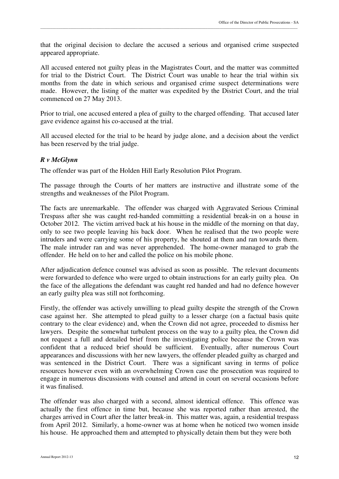that the original decision to declare the accused a serious and organised crime suspected appeared appropriate.

\_\_\_\_\_\_\_\_\_\_\_\_\_\_\_\_\_\_\_\_\_\_\_\_\_\_\_\_\_\_\_\_\_\_\_\_\_\_\_\_\_\_\_\_\_\_\_\_\_\_\_\_\_\_\_\_\_\_\_\_\_\_\_\_\_\_\_\_\_\_\_\_\_\_\_\_\_\_\_\_\_\_\_\_\_\_\_\_\_\_\_\_\_\_\_\_\_\_\_\_\_\_\_\_\_\_\_\_\_\_\_\_\_\_\_\_\_\_\_\_\_\_\_\_\_\_\_\_\_

All accused entered not guilty pleas in the Magistrates Court, and the matter was committed for trial to the District Court. The District Court was unable to hear the trial within six months from the date in which serious and organised crime suspect determinations were made. However, the listing of the matter was expedited by the District Court, and the trial commenced on 27 May 2013.

Prior to trial, one accused entered a plea of guilty to the charged offending. That accused later gave evidence against his co-accused at the trial.

All accused elected for the trial to be heard by judge alone, and a decision about the verdict has been reserved by the trial judge.

#### *R v McGlynn*

The offender was part of the Holden Hill Early Resolution Pilot Program.

The passage through the Courts of her matters are instructive and illustrate some of the strengths and weaknesses of the Pilot Program.

The facts are unremarkable. The offender was charged with Aggravated Serious Criminal Trespass after she was caught red-handed committing a residential break-in on a house in October 2012. The victim arrived back at his house in the middle of the morning on that day, only to see two people leaving his back door. When he realised that the two people were intruders and were carrying some of his property, he shouted at them and ran towards them. The male intruder ran and was never apprehended. The home-owner managed to grab the offender. He held on to her and called the police on his mobile phone.

After adjudication defence counsel was advised as soon as possible. The relevant documents were forwarded to defence who were urged to obtain instructions for an early guilty plea. On the face of the allegations the defendant was caught red handed and had no defence however an early guilty plea was still not forthcoming.

Firstly, the offender was actively unwilling to plead guilty despite the strength of the Crown case against her. She attempted to plead guilty to a lesser charge (on a factual basis quite contrary to the clear evidence) and, when the Crown did not agree, proceeded to dismiss her lawyers. Despite the somewhat turbulent process on the way to a guilty plea, the Crown did not request a full and detailed brief from the investigating police because the Crown was confident that a reduced brief should be sufficient. Eventually, after numerous Court appearances and discussions with her new lawyers, the offender pleaded guilty as charged and was sentenced in the District Court. There was a significant saving in terms of police resources however even with an overwhelming Crown case the prosecution was required to engage in numerous discussions with counsel and attend in court on several occasions before it was finalised.

The offender was also charged with a second, almost identical offence. This offence was actually the first offence in time but, because she was reported rather than arrested, the charges arrived in Court after the latter break-in. This matter was, again, a residential trespass from April 2012. Similarly, a home-owner was at home when he noticed two women inside his house. He approached them and attempted to physically detain them but they were both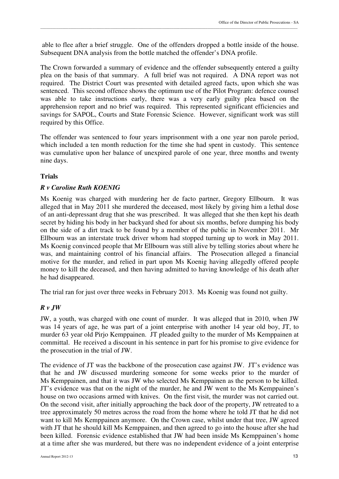able to flee after a brief struggle. One of the offenders dropped a bottle inside of the house. Subsequent DNA analysis from the bottle matched the offender's DNA profile.

The Crown forwarded a summary of evidence and the offender subsequently entered a guilty plea on the basis of that summary. A full brief was not required. A DNA report was not required. The District Court was presented with detailed agreed facts, upon which she was sentenced. This second offence shows the optimum use of the Pilot Program: defence counsel was able to take instructions early, there was a very early guilty plea based on the apprehension report and no brief was required. This represented significant efficiencies and savings for SAPOL, Courts and State Forensic Science. However, significant work was still required by this Office.

The offender was sentenced to four years imprisonment with a one year non parole period, which included a ten month reduction for the time she had spent in custody. This sentence was cumulative upon her balance of unexpired parole of one year, three months and twenty nine days.

# **Trials**

#### *R v Caroline Ruth KOENIG*

Ms Koenig was charged with murdering her de facto partner, Gregory Ellbourn. It was alleged that in May 2011 she murdered the deceased, most likely by giving him a lethal dose of an anti-depressant drug that she was prescribed. It was alleged that she then kept his death secret by hiding his body in her backyard shed for about six months, before dumping his body on the side of a dirt track to be found by a member of the public in November 2011. Mr Ellbourn was an interstate truck driver whom had stopped turning up to work in May 2011. Ms Koenig convinced people that Mr Ellbourn was still alive by telling stories about where he was, and maintaining control of his financial affairs. The Prosecution alleged a financial motive for the murder, and relied in part upon Ms Koenig having allegedly offered people money to kill the deceased, and then having admitted to having knowledge of his death after he had disappeared.

The trial ran for just over three weeks in February 2013. Ms Koenig was found not guilty.

#### *R v JW*

JW, a youth, was charged with one count of murder. It was alleged that in 2010, when JW was 14 years of age, he was part of a joint enterprise with another 14 year old boy, JT, to murder 63 year old Pirjo Kemppainen. JT pleaded guilty to the murder of Ms Kemppainen at committal. He received a discount in his sentence in part for his promise to give evidence for the prosecution in the trial of JW.

The evidence of JT was the backbone of the prosecution case against JW. JT's evidence was that he and JW discussed murdering someone for some weeks prior to the murder of Ms Kemppainen, and that it was JW who selected Ms Kemppainen as the person to be killed. JT's evidence was that on the night of the murder, he and JW went to the Ms Kemppainen's house on two occasions armed with knives. On the first visit, the murder was not carried out. On the second visit, after initially approaching the back door of the property, JW retreated to a tree approximately 50 metres across the road from the home where he told JT that he did not want to kill Ms Kemppainen anymore. On the Crown case, whilst under that tree, JW agreed with JT that he should kill Ms Kemppainen, and then agreed to go into the house after she had been killed. Forensic evidence established that JW had been inside Ms Kemppainen's home at a time after she was murdered, but there was no independent evidence of a joint enterprise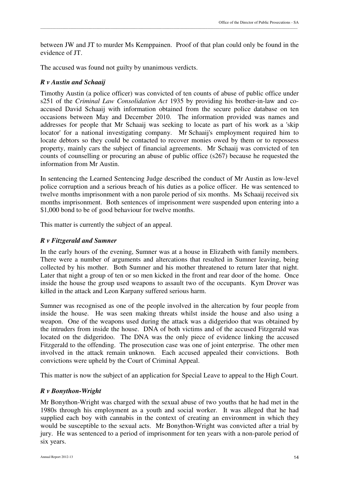between JW and JT to murder Ms Kemppainen. Proof of that plan could only be found in the evidence of JT.

The accused was found not guilty by unanimous verdicts.

# *R v Austin and Schaaij*

Timothy Austin (a police officer) was convicted of ten counts of abuse of public office under s251 of the *Criminal Law Consolidation Act* 1935 by providing his brother-in-law and coaccused David Schaaij with information obtained from the secure police database on ten occasions between May and December 2010. The information provided was names and addresses for people that Mr Schaaij was seeking to locate as part of his work as a 'skip locator' for a national investigating company. Mr Schaaij's employment required him to locate debtors so they could be contacted to recover monies owed by them or to repossess property, mainly cars the subject of financial agreements. Mr Schaaij was convicted of ten counts of counselling or procuring an abuse of public office (s267) because he requested the information from Mr Austin.

In sentencing the Learned Sentencing Judge described the conduct of Mr Austin as low-level police corruption and a serious breach of his duties as a police officer. He was sentenced to twelve months imprisonment with a non parole period of six months. Ms Schaaij received six months imprisonment. Both sentences of imprisonment were suspended upon entering into a \$1,000 bond to be of good behaviour for twelve months.

This matter is currently the subject of an appeal.

# *R v Fitzgerald and Sumner*

In the early hours of the evening, Sumner was at a house in Elizabeth with family members. There were a number of arguments and altercations that resulted in Sumner leaving, being collected by his mother. Both Sumner and his mother threatened to return later that night. Later that night a group of ten or so men kicked in the front and rear door of the home. Once inside the house the group used weapons to assault two of the occupants. Kym Drover was killed in the attack and Leon Karpany suffered serious harm.

Sumner was recognised as one of the people involved in the altercation by four people from inside the house. He was seen making threats whilst inside the house and also using a weapon. One of the weapons used during the attack was a didgeridoo that was obtained by the intruders from inside the house. DNA of both victims and of the accused Fitzgerald was located on the didgeridoo. The DNA was the only piece of evidence linking the accused Fitzgerald to the offending. The prosecution case was one of joint enterprise. The other men involved in the attack remain unknown. Each accused appealed their convictions. Both convictions were upheld by the Court of Criminal Appeal.

This matter is now the subject of an application for Special Leave to appeal to the High Court.

# *R v Bonython-Wright*

Mr Bonython-Wright was charged with the sexual abuse of two youths that he had met in the 1980s through his employment as a youth and social worker. It was alleged that he had supplied each boy with cannabis in the context of creating an environment in which they would be susceptible to the sexual acts. Mr Bonython-Wright was convicted after a trial by jury. He was sentenced to a period of imprisonment for ten years with a non-parole period of six years.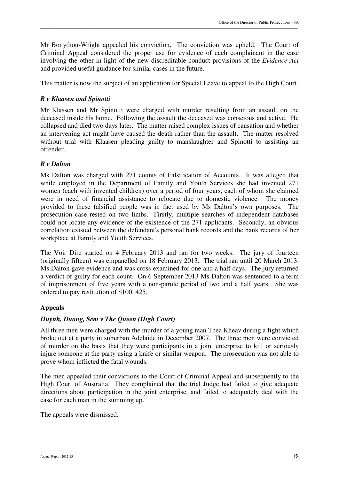Mr Bonython-Wright appealed his conviction. The conviction was upheld. The Court of Criminal Appeal considered the proper use for evidence of each complainant in the case involving the other in light of the new discreditable conduct provisions of the *Evidence Act* and provided useful guidance for similar cases in the future.

\_\_\_\_\_\_\_\_\_\_\_\_\_\_\_\_\_\_\_\_\_\_\_\_\_\_\_\_\_\_\_\_\_\_\_\_\_\_\_\_\_\_\_\_\_\_\_\_\_\_\_\_\_\_\_\_\_\_\_\_\_\_\_\_\_\_\_\_\_\_\_\_\_\_\_\_\_\_\_\_\_\_\_\_\_\_\_\_\_\_\_\_\_\_\_\_\_\_\_\_\_\_\_\_\_\_\_\_\_\_\_\_\_\_\_\_\_\_\_\_\_\_\_\_\_\_\_\_\_

This matter is now the subject of an application for Special Leave to appeal to the High Court.

# *R v Klaasen and Spinotti*

Mr Klassen and Mr Spinotti were charged with murder resulting from an assault on the deceased inside his home. Following the assault the deceased was conscious and active. He collapsed and died two days later. The matter raised complex issues of causation and whether an intervening act might have caused the death rather than the assault. The matter resolved without trial with Klaasen pleading guilty to manslaughter and Spinotti to assisting an offender.

# *R v Dalton*

Ms Dalton was charged with 271 counts of Falsification of Accounts. It was alleged that while employed in the Department of Family and Youth Services she had invented 271 women (each with invented children) over a period of four years, each of whom she claimed were in need of financial assistance to relocate due to domestic violence. The money provided to these falsified people was in fact used by Ms Dalton's own purposes. The prosecution case rested on two limbs. Firstly, multiple searches of independent databases could not locate any evidence of the existence of the 271 applicants. Secondly, an obvious correlation existed between the defendant's personal bank records and the bank records of her workplace at Family and Youth Services.

The Voir Dire started on 4 February 2013 and ran for two weeks. The jury of fourteen (originally fifteen) was empanelled on 18 February 2013. The trial ran until 20 March 2013. Ms Dalton gave evidence and was cross examined for one and a half days. The jury returned a verdict of guilty for each count. On 6 September 2013 Ms Dalton was sentenced to a term of imprisonment of five years with a non-parole period of two and a half years. She was ordered to pay restitution of \$100, 425.

# **Appeals**

# *Huynh, Duong, Sem v The Queen (High Court)*

All three men were charged with the murder of a young man Thea Kheav during a fight which broke out at a party in suburban Adelaide in December 2007. The three men were convicted of murder on the basis that they were participants in a joint enterprise to kill or seriously injure someone at the party using a knife or similar weapon. The prosecution was not able to prove whom inflicted the fatal wounds.

The men appealed their convictions to the Court of Criminal Appeal and subsequently to the High Court of Australia. They complained that the trial Judge had failed to give adequate directions about participation in the joint enterprise, and failed to adequately deal with the case for each man in the summing up.

The appeals were dismissed.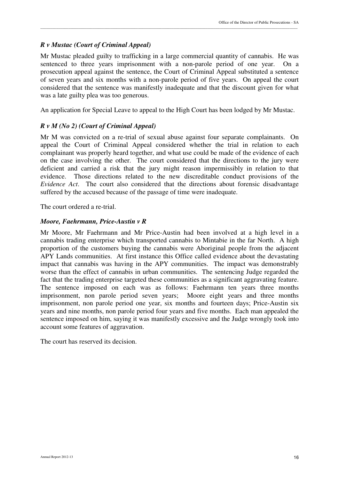### *R v Mustac (Court of Criminal Appeal)*

Mr Mustac pleaded guilty to trafficking in a large commercial quantity of cannabis. He was sentenced to three years imprisonment with a non-parole period of one year. On a prosecution appeal against the sentence, the Court of Criminal Appeal substituted a sentence of seven years and six months with a non-parole period of five years. On appeal the court considered that the sentence was manifestly inadequate and that the discount given for what was a late guilty plea was too generous.

\_\_\_\_\_\_\_\_\_\_\_\_\_\_\_\_\_\_\_\_\_\_\_\_\_\_\_\_\_\_\_\_\_\_\_\_\_\_\_\_\_\_\_\_\_\_\_\_\_\_\_\_\_\_\_\_\_\_\_\_\_\_\_\_\_\_\_\_\_\_\_\_\_\_\_\_\_\_\_\_\_\_\_\_\_\_\_\_\_\_\_\_\_\_\_\_\_\_\_\_\_\_\_\_\_\_\_\_\_\_\_\_\_\_\_\_\_\_\_\_\_\_\_\_\_\_\_\_\_

An application for Special Leave to appeal to the High Court has been lodged by Mr Mustac.

#### *R v M (No 2) (Court of Criminal Appeal)*

Mr M was convicted on a re-trial of sexual abuse against four separate complainants. On appeal the Court of Criminal Appeal considered whether the trial in relation to each complainant was properly heard together, and what use could be made of the evidence of each on the case involving the other. The court considered that the directions to the jury were deficient and carried a risk that the jury might reason impermissibly in relation to that evidence. Those directions related to the new discreditable conduct provisions of the *Evidence Act*. The court also considered that the directions about forensic disadvantage suffered by the accused because of the passage of time were inadequate.

The court ordered a re-trial.

#### *Moore, Faehrmann, Price-Austin v R*

Mr Moore, Mr Faehrmann and Mr Price-Austin had been involved at a high level in a cannabis trading enterprise which transported cannabis to Mintabie in the far North. A high proportion of the customers buying the cannabis were Aboriginal people from the adjacent APY Lands communities. At first instance this Office called evidence about the devastating impact that cannabis was having in the APY communities. The impact was demonstrably worse than the effect of cannabis in urban communities. The sentencing Judge regarded the fact that the trading enterprise targeted these communities as a significant aggravating feature. The sentence imposed on each was as follows: Faehrmann ten years three months imprisonment, non parole period seven years; Moore eight years and three months imprisonment, non parole period one year, six months and fourteen days; Price-Austin six years and nine months, non parole period four years and five months. Each man appealed the sentence imposed on him, saying it was manifestly excessive and the Judge wrongly took into account some features of aggravation.

The court has reserved its decision.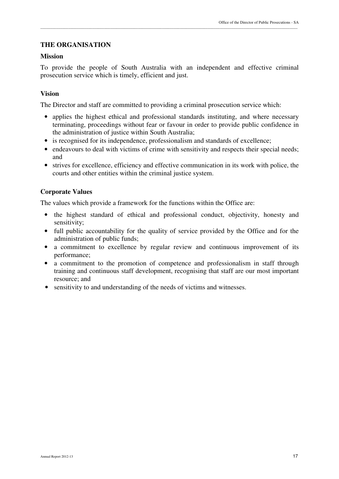# **THE ORGANISATION**

#### **Mission**

To provide the people of South Australia with an independent and effective criminal prosecution service which is timely, efficient and just.

\_\_\_\_\_\_\_\_\_\_\_\_\_\_\_\_\_\_\_\_\_\_\_\_\_\_\_\_\_\_\_\_\_\_\_\_\_\_\_\_\_\_\_\_\_\_\_\_\_\_\_\_\_\_\_\_\_\_\_\_\_\_\_\_\_\_\_\_\_\_\_\_\_\_\_\_\_\_\_\_\_\_\_\_\_\_\_\_\_\_\_\_\_\_\_\_\_\_\_\_\_\_\_\_\_\_\_\_\_\_\_\_\_\_\_\_\_\_\_\_\_\_\_\_\_\_\_\_\_

# **Vision**

The Director and staff are committed to providing a criminal prosecution service which:

- applies the highest ethical and professional standards instituting, and where necessary terminating, proceedings without fear or favour in order to provide public confidence in the administration of justice within South Australia;
- is recognised for its independence, professionalism and standards of excellence;
- endeavours to deal with victims of crime with sensitivity and respects their special needs; and
- strives for excellence, efficiency and effective communication in its work with police, the courts and other entities within the criminal justice system.

# **Corporate Values**

The values which provide a framework for the functions within the Office are:

- the highest standard of ethical and professional conduct, objectivity, honesty and sensitivity;
- full public accountability for the quality of service provided by the Office and for the administration of public funds;
- a commitment to excellence by regular review and continuous improvement of its performance;
- a commitment to the promotion of competence and professionalism in staff through training and continuous staff development, recognising that staff are our most important resource; and
- sensitivity to and understanding of the needs of victims and witnesses.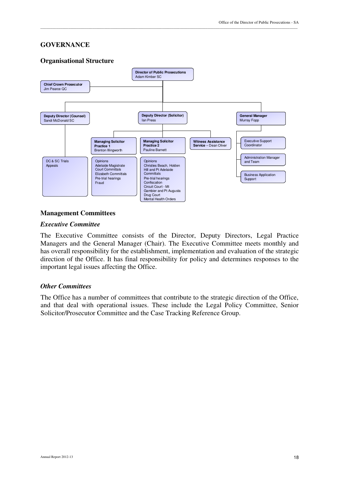#### **GOVERNANCE**

#### **Organisational Structure**



\_\_\_\_\_\_\_\_\_\_\_\_\_\_\_\_\_\_\_\_\_\_\_\_\_\_\_\_\_\_\_\_\_\_\_\_\_\_\_\_\_\_\_\_\_\_\_\_\_\_\_\_\_\_\_\_\_\_\_\_\_\_\_\_\_\_\_\_\_\_\_\_\_\_\_\_\_\_\_\_\_\_\_\_\_\_\_\_\_\_\_\_\_\_\_\_\_\_\_\_\_\_\_\_\_\_\_\_\_\_\_\_\_\_\_\_\_\_\_\_\_\_\_\_\_\_\_\_\_

#### **Management Committees**

#### *Executive Committee*

The Executive Committee consists of the Director, Deputy Directors, Legal Practice Managers and the General Manager (Chair). The Executive Committee meets monthly and has overall responsibility for the establishment, implementation and evaluation of the strategic direction of the Office. It has final responsibility for policy and determines responses to the important legal issues affecting the Office.

#### *Other Committees*

The Office has a number of committees that contribute to the strategic direction of the Office, and that deal with operational issues. These include the Legal Policy Committee, Senior Solicitor/Prosecutor Committee and the Case Tracking Reference Group.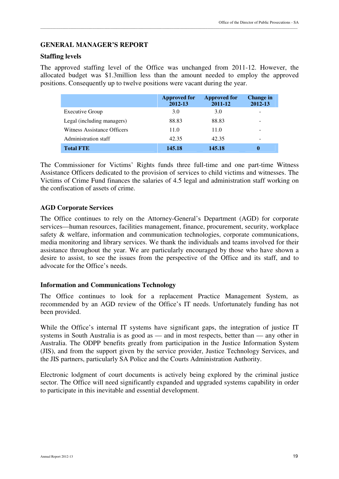#### **GENERAL MANAGER'S REPORT**

#### **Staffing levels**

The approved staffing level of the Office was unchanged from 2011-12. However, the allocated budget was \$1.3million less than the amount needed to employ the approved positions. Consequently up to twelve positions were vacant during the year.

\_\_\_\_\_\_\_\_\_\_\_\_\_\_\_\_\_\_\_\_\_\_\_\_\_\_\_\_\_\_\_\_\_\_\_\_\_\_\_\_\_\_\_\_\_\_\_\_\_\_\_\_\_\_\_\_\_\_\_\_\_\_\_\_\_\_\_\_\_\_\_\_\_\_\_\_\_\_\_\_\_\_\_\_\_\_\_\_\_\_\_\_\_\_\_\_\_\_\_\_\_\_\_\_\_\_\_\_\_\_\_\_\_\_\_\_\_\_\_\_\_\_\_\_\_\_\_\_\_

|                             | <b>Approved for</b><br>2012-13 | <b>Approved for</b><br>2011-12 | Change in<br>2012-13 |
|-----------------------------|--------------------------------|--------------------------------|----------------------|
| <b>Executive Group</b>      | 3.0                            | 3.0                            | ۰                    |
| Legal (including managers)  | 88.83                          | 88.83                          | ۰                    |
| Witness Assistance Officers | 11.0                           | 11.0                           | -                    |
| Administration staff        | 42.35                          | 42.35                          | -                    |
| <b>Total FTE</b>            | 145.18                         | 145.18                         | 0                    |

The Commissioner for Victims' Rights funds three full-time and one part-time Witness Assistance Officers dedicated to the provision of services to child victims and witnesses. The Victims of Crime Fund finances the salaries of 4.5 legal and administration staff working on the confiscation of assets of crime.

#### **AGD Corporate Services**

The Office continues to rely on the Attorney-General's Department (AGD) for corporate services—human resources, facilities management, finance, procurement, security, workplace safety & welfare, information and communication technologies, corporate communications, media monitoring and library services. We thank the individuals and teams involved for their assistance throughout the year. We are particularly encouraged by those who have shown a desire to assist, to see the issues from the perspective of the Office and its staff, and to advocate for the Office's needs.

#### **Information and Communications Technology**

The Office continues to look for a replacement Practice Management System, as recommended by an AGD review of the Office's IT needs. Unfortunately funding has not been provided.

While the Office's internal IT systems have significant gaps, the integration of justice IT systems in South Australia is as good as — and in most respects, better than — any other in Australia. The ODPP benefits greatly from participation in the Justice Information System (JIS), and from the support given by the service provider, Justice Technology Services, and the JIS partners, particularly SA Police and the Courts Administration Authority.

Electronic lodgment of court documents is actively being explored by the criminal justice sector. The Office will need significantly expanded and upgraded systems capability in order to participate in this inevitable and essential development.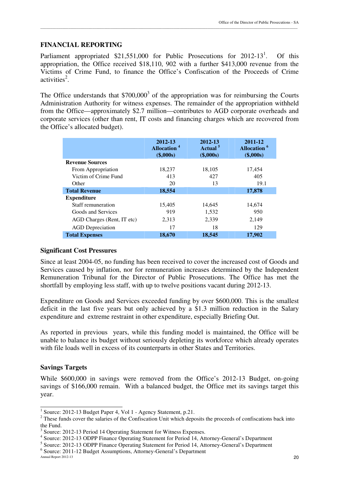#### **FINANCIAL REPORTING**

Parliament appropriated  $$21,551,000$  for Public Prosecutions for  $2012-13<sup>1</sup>$ . . Of this appropriation, the Office received \$18,110, 902 with a further \$413,000 revenue from the Victims of Crime Fund, to finance the Office's Confiscation of the Proceeds of Crime activities<sup>2</sup>.

The Office understands that  $$700,000^3$  of the appropriation was for reimbursing the Courts Administration Authority for witness expenses. The remainder of the appropriation withheld from the Office—approximately \$2.7 million—contributes to AGD corporate overheads and corporate services (other than rent, IT costs and financing charges which are recovered from the Office's allocated budget).

|                            | 2012-13<br><b>Allocation</b> <sup>4</sup><br>(\$,000s) | 2012-13<br>Actual <sup>5</sup><br>(\$,000s) | 2011-12<br><b>Allocation</b> <sup>6</sup><br>(\$,000s) |
|----------------------------|--------------------------------------------------------|---------------------------------------------|--------------------------------------------------------|
| <b>Revenue Sources</b>     |                                                        |                                             |                                                        |
| From Appropriation         | 18,237                                                 | 18,105                                      | 17,454                                                 |
| Victim of Crime Fund       | 413                                                    | 427                                         | 405                                                    |
| Other                      | 20                                                     | 13                                          | 19.1                                                   |
| <b>Total Revenue</b>       | 18,554                                                 |                                             | 17,878                                                 |
| <b>Expenditure</b>         |                                                        |                                             |                                                        |
| Staff remuneration         | 15,405                                                 | 14,645                                      | 14,674                                                 |
| Goods and Services         | 919                                                    | 1,532                                       | 950                                                    |
| AGD Charges (Rent, IT etc) | 2,313                                                  | 2,339                                       | 2,149                                                  |
| <b>AGD</b> Depreciation    | 17                                                     | 18                                          | 129                                                    |
| <b>Total Expenses</b>      | 18,670                                                 | 18,545                                      | 17,902                                                 |

#### **Significant Cost Pressures**

Since at least 2004-05, no funding has been received to cover the increased cost of Goods and Services caused by inflation, nor for remuneration increases determined by the Independent Remuneration Tribunal for the Director of Public Prosecutions. The Office has met the shortfall by employing less staff, with up to twelve positions vacant during 2012-13.

Expenditure on Goods and Services exceeded funding by over \$600,000. This is the smallest deficit in the last five years but only achieved by a \$1.3 million reduction in the Salary expenditure and extreme restraint in other expenditure, especially Briefing Out.

As reported in previous years, while this funding model is maintained, the Office will be unable to balance its budget without seriously depleting its workforce which already operates with file loads well in excess of its counterparts in other States and Territories.

#### **Savings Targets**

While \$600,000 in savings were removed from the Office's 2012-13 Budget, on-going savings of \$166,000 remain. With a balanced budget, the Office met its savings target this year.

 $\overline{a}$ 

<sup>&</sup>lt;sup>1</sup> Source: 2012-13 Budget Paper 4, Vol 1 - Agency Statement, p.21.

 $2^2$  These funds cover the salaries of the Confiscation Unit which deposits the proceeds of confiscations back into the Fund.

<sup>&</sup>lt;sup>3</sup> Source: 2012-13 Period 14 Operating Statement for Witness Expenses.

<sup>&</sup>lt;sup>4</sup> Source: 2012-13 ODPP Finance Operating Statement for Period 14, Attorney-General's Department

<sup>&</sup>lt;sup>5</sup> Source: 2012-13 ODPP Finance Operating Statement for Period 14, Attorney-General's Department

<sup>6</sup> Source: 2011-12 Budget Assumptions, Attorney-General's Department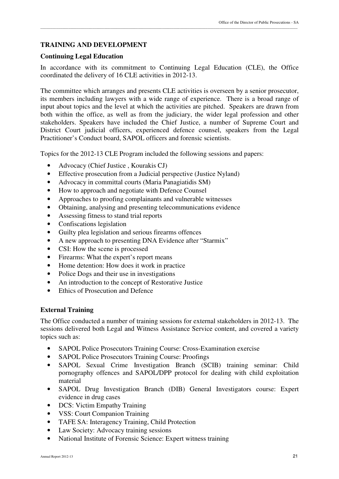### **TRAINING AND DEVELOPMENT**

#### **Continuing Legal Education**

In accordance with its commitment to Continuing Legal Education (CLE), the Office coordinated the delivery of 16 CLE activities in 2012-13.

\_\_\_\_\_\_\_\_\_\_\_\_\_\_\_\_\_\_\_\_\_\_\_\_\_\_\_\_\_\_\_\_\_\_\_\_\_\_\_\_\_\_\_\_\_\_\_\_\_\_\_\_\_\_\_\_\_\_\_\_\_\_\_\_\_\_\_\_\_\_\_\_\_\_\_\_\_\_\_\_\_\_\_\_\_\_\_\_\_\_\_\_\_\_\_\_\_\_\_\_\_\_\_\_\_\_\_\_\_\_\_\_\_\_\_\_\_\_\_\_\_\_\_\_\_\_\_\_\_

The committee which arranges and presents CLE activities is overseen by a senior prosecutor, its members including lawyers with a wide range of experience. There is a broad range of input about topics and the level at which the activities are pitched. Speakers are drawn from both within the office, as well as from the judiciary, the wider legal profession and other stakeholders. Speakers have included the Chief Justice, a number of Supreme Court and District Court judicial officers, experienced defence counsel, speakers from the Legal Practitioner's Conduct board, SAPOL officers and forensic scientists.

Topics for the 2012-13 CLE Program included the following sessions and papers:

- Advocacy (Chief Justice, Kourakis CJ)
- Effective prosecution from a Judicial perspective (Justice Nyland)
- Advocacy in committal courts (Maria Panagiatidis SM)
- How to approach and negotiate with Defence Counsel
- Approaches to proofing complainants and vulnerable witnesses
- Obtaining, analysing and presenting telecommunications evidence
- Assessing fitness to stand trial reports
- Confiscations legislation
- Guilty plea legislation and serious firearms offences
- A new approach to presenting DNA Evidence after "Starmix"
- CSI: How the scene is processed
- Firearms: What the expert's report means
- Home detention: How does it work in practice
- Police Dogs and their use in investigations
- An introduction to the concept of Restorative Justice
- Ethics of Prosecution and Defence

#### **External Training**

The Office conducted a number of training sessions for external stakeholders in 2012-13. The sessions delivered both Legal and Witness Assistance Service content, and covered a variety topics such as:

- SAPOL Police Prosecutors Training Course: Cross-Examination exercise
- SAPOL Police Prosecutors Training Course: Proofings
- SAPOL Sexual Crime Investigation Branch (SCIB) training seminar: Child pornography offences and SAPOL/DPP protocol for dealing with child exploitation material
- SAPOL Drug Investigation Branch (DIB) General Investigators course: Expert evidence in drug cases
- DCS: Victim Empathy Training
- VSS: Court Companion Training
- TAFE SA: Interagency Training, Child Protection
- Law Society: Advocacy training sessions
- National Institute of Forensic Science: Expert witness training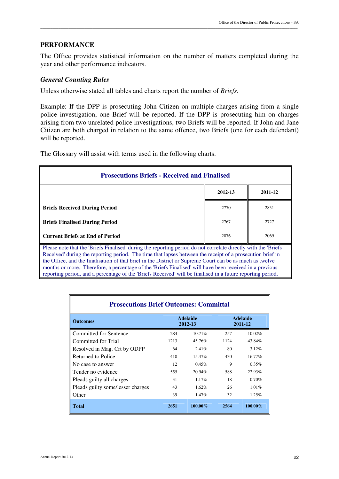#### **PERFORMANCE**

The Office provides statistical information on the number of matters completed during the year and other performance indicators.

\_\_\_\_\_\_\_\_\_\_\_\_\_\_\_\_\_\_\_\_\_\_\_\_\_\_\_\_\_\_\_\_\_\_\_\_\_\_\_\_\_\_\_\_\_\_\_\_\_\_\_\_\_\_\_\_\_\_\_\_\_\_\_\_\_\_\_\_\_\_\_\_\_\_\_\_\_\_\_\_\_\_\_\_\_\_\_\_\_\_\_\_\_\_\_\_\_\_\_\_\_\_\_\_\_\_\_\_\_\_\_\_\_\_\_\_\_\_\_\_\_\_\_\_\_\_\_\_\_

#### *General Counting Rules*

Unless otherwise stated all tables and charts report the number of *Briefs*.

Example: If the DPP is prosecuting John Citizen on multiple charges arising from a single police investigation, one Brief will be reported. If the DPP is prosecuting him on charges arising from two unrelated police investigations, two Briefs will be reported. If John and Jane Citizen are both charged in relation to the same offence, two Briefs (one for each defendant) will be reported.

The Glossary will assist with terms used in the following charts.

| <b>Prosecutions Briefs - Received and Finalised</b>                                                                                                                                                                                                                                                                                                                                                                                                                                                                                                                |         |         |  |  |  |  |  |
|--------------------------------------------------------------------------------------------------------------------------------------------------------------------------------------------------------------------------------------------------------------------------------------------------------------------------------------------------------------------------------------------------------------------------------------------------------------------------------------------------------------------------------------------------------------------|---------|---------|--|--|--|--|--|
|                                                                                                                                                                                                                                                                                                                                                                                                                                                                                                                                                                    | 2012-13 | 2011-12 |  |  |  |  |  |
| <b>Briefs Received During Period</b>                                                                                                                                                                                                                                                                                                                                                                                                                                                                                                                               | 2770    | 2831    |  |  |  |  |  |
| <b>Briefs Finalised During Period</b>                                                                                                                                                                                                                                                                                                                                                                                                                                                                                                                              | 2767    | 2727    |  |  |  |  |  |
| <b>Current Briefs at End of Period</b>                                                                                                                                                                                                                                                                                                                                                                                                                                                                                                                             | 2076    | 2069    |  |  |  |  |  |
| Please note that the 'Briefs Finalised' during the reporting period do not correlate directly with the 'Briefs'<br>Received' during the reporting period. The time that lapses between the receipt of a prosecution brief in<br>the Office, and the finalisation of that brief in the District or Supreme Court can be as much as twelve<br>months or more. Therefore, a percentage of the 'Briefs Finalised' will have been received in a previous<br>reporting period, and a percentage of the 'Briefs Received' will be finalised in a future reporting period. |         |         |  |  |  |  |  |

| <b>Prosecutions Brief Outcomes: Committal</b> |                            |            |      |         |  |                            |  |
|-----------------------------------------------|----------------------------|------------|------|---------|--|----------------------------|--|
| <b>Outcomes</b>                               | <b>Adelaide</b><br>2012-13 |            |      |         |  | <b>Adelaide</b><br>2011-12 |  |
| Committed for Sentence                        | 284                        | 10.71%     | 257  | 10.02%  |  |                            |  |
| Committed for Trial                           | 1213                       | 45.76%     | 1124 | 43.84%  |  |                            |  |
| Resolved in Mag. Crt by ODPP                  | 64                         | 2.41%      | 80   | 3.12%   |  |                            |  |
| Returned to Police                            | 410                        | 15.47%     | 430  | 16.77%  |  |                            |  |
| No case to answer                             | 12                         | 0.45%      | 9    | 0.35%   |  |                            |  |
| Tender no evidence                            | 555                        | $20.94\%$  | 588  | 22.93%  |  |                            |  |
| Pleads guilty all charges                     | 31                         | 1.17%      | 18   | 0.70%   |  |                            |  |
| Pleads guilty some/lesser charges             | 43                         | $1.62\%$   | 26   | 1.01%   |  |                            |  |
| Other                                         | 39                         | 1.47%      | 32   | 1.25%   |  |                            |  |
| <b>Total</b>                                  | 2651                       | $100.00\%$ | 2564 | 100.00% |  |                            |  |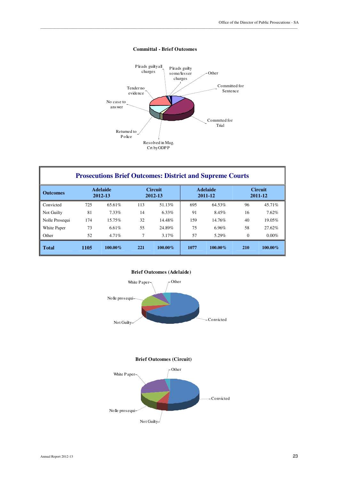

#### **Committal - Brief Outcomes**

\_\_\_\_\_\_\_\_\_\_\_\_\_\_\_\_\_\_\_\_\_\_\_\_\_\_\_\_\_\_\_\_\_\_\_\_\_\_\_\_\_\_\_\_\_\_\_\_\_\_\_\_\_\_\_\_\_\_\_\_\_\_\_\_\_\_\_\_\_\_\_\_\_\_\_\_\_\_\_\_\_\_\_\_\_\_\_\_\_\_\_\_\_\_\_\_\_\_\_\_\_\_\_\_\_\_\_\_\_\_\_\_\_\_\_\_\_\_\_\_\_\_\_\_\_\_\_\_\_

| <b>Prosecutions Brief Outcomes: District and Supreme Courts</b> |      |                            |                |                           |      |                            |          |                           |
|-----------------------------------------------------------------|------|----------------------------|----------------|---------------------------|------|----------------------------|----------|---------------------------|
| <b>Outcomes</b>                                                 |      | <b>Adelaide</b><br>2012-13 |                | <b>Circuit</b><br>2012-13 |      | <b>Adelaide</b><br>2011-12 |          | <b>Circuit</b><br>2011-12 |
| Convicted                                                       | 725  | 65.61%                     | 113            | 51.13%                    | 695  | 64.53%                     | 96       | 45.71%                    |
| Not Guilty                                                      | 81   | 7.33%                      | 14             | 6.33%                     | 91   | 8.45%                      | 16       | 7.62%                     |
| Nolle Prosequi                                                  | 174  | 15.75%                     | 32             | 14.48%                    | 159  | 14.76%                     | 40       | 19.05%                    |
| White Paper                                                     | 73   | 6.61%                      | 55             | 24.89%                    | 75   | 6.96%                      | 58       | 27.62%                    |
| Other                                                           | 52   | $4.71\%$                   | $\overline{7}$ | $3.17\%$                  | 57   | 5.29%                      | $\Omega$ | $0.00\%$                  |
| <b>Total</b>                                                    | 1105 | $100.00\%$                 | 221            | $100.00\%$                | 1077 | $100.00\%$                 | 210      | $100.00\%$                |

#### **Brief Outcomes (Adelaide)**



#### **Brief Outcomes (Circuit)**

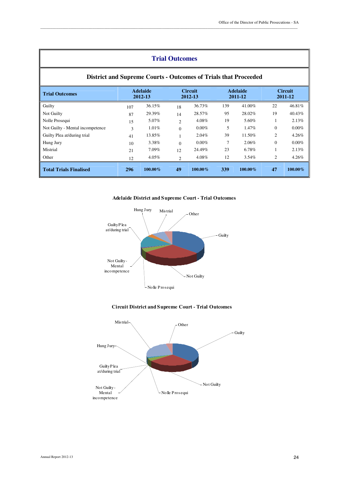| <b>Trial Outcomes</b>                                                  |     |                            |                |                           |     |                            |                |                           |
|------------------------------------------------------------------------|-----|----------------------------|----------------|---------------------------|-----|----------------------------|----------------|---------------------------|
| <b>District and Supreme Courts - Outcomes of Trials that Proceeded</b> |     |                            |                |                           |     |                            |                |                           |
| <b>Trial Outcomes</b>                                                  |     | <b>Adelaide</b><br>2012-13 |                | <b>Circuit</b><br>2012-13 |     | <b>Adelaide</b><br>2011-12 |                | <b>Circuit</b><br>2011-12 |
| Guilty                                                                 | 107 | 36.15%                     | 18             | 36.73%                    | 139 | 41.00%                     | 22             | 46.81%                    |
| Not Guilty                                                             | 87  | 29.39%                     | 14             | 28.57%                    | 95  | 28.02%                     | 19             | 40.43%                    |
| Nolle Prosequi                                                         | 15  | 5.07%                      | $\overline{c}$ | 4.08%                     | 19  | 5.60%                      |                | 2.13%                     |
| Not Guilty - Mental incompetence                                       | 3   | $1.01\%$                   | $\Omega$       | $0.00\%$                  | 5   | 1.47%                      | $\mathbf{0}$   | $0.00\%$                  |
| Guilty Plea at/during trial                                            | 41  | 13.85%                     |                | 2.04%                     | 39  | 11.50%                     | $\overline{2}$ | 4.26%                     |
| Hung Jury                                                              | 10  | 3.38%                      | $\Omega$       | $0.00\%$                  | 7   | 2.06%                      | $\Omega$       | $0.00\%$                  |
| Mistrial                                                               | 21  | 7.09%                      | 12             | 24.49%                    | 23  | 6.78%                      |                | 2.13%                     |
| Other                                                                  | 12  | 4.05%                      | $\mathcal{D}$  | 4.08%                     | 12  | $3.54\%$                   | $\overline{c}$ | 4.26%                     |
| <b>Total Trials Finalised</b>                                          | 296 | 100.00%                    | 49             | $100.00\%$                | 339 | $100.00\%$                 | 47             | $100.00\%$                |



#### **Circuit District and Supreme Court - Trial Outcomes**

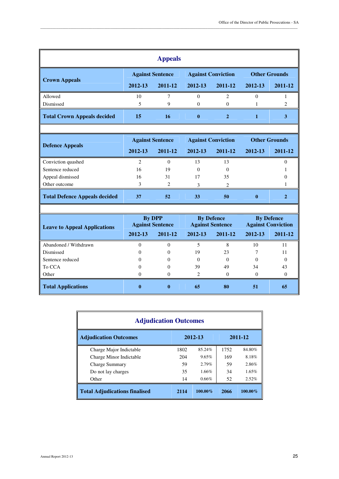| <b>Appeals</b>                     |                         |         |                           |             |                      |         |
|------------------------------------|-------------------------|---------|---------------------------|-------------|----------------------|---------|
|                                    | <b>Against Sentence</b> |         | <b>Against Conviction</b> |             | <b>Other Grounds</b> |         |
| <b>Crown Appeals</b>               | 2012-13                 | 2011-12 | 2012-13                   | 2011-12     | 2012-13              | 2011-12 |
| Allowed                            | 10                      |         | $\Omega$                  | っ           |                      |         |
| Dismissed                          |                         | 9       | $\Omega$                  | $\Omega$    |                      |         |
| <b>Total Crown Appeals decided</b> | 15                      | 16      | $\bf{0}$                  | $\mathbf 2$ |                      |         |
|                                    |                         |         |                           |             |                      |         |

|                               | <b>Against Sentence</b> |                             | <b>Against Conviction</b> |         | <b>Other Grounds</b> |         |
|-------------------------------|-------------------------|-----------------------------|---------------------------|---------|----------------------|---------|
| Defence Appeals               | 2012-13                 | 2011-12                     | 2012-13                   | 2011-12 | 2012-13              | 2011-12 |
| Conviction quashed            |                         | $\Omega$                    | 13                        | 13      |                      |         |
| Sentence reduced              | 16                      | 19                          | 0                         |         |                      |         |
| Appeal dismissed              | 16                      | 31                          | 17                        | 35      |                      |         |
| Other outcome                 |                         | $\mathcal{D}_{\mathcal{L}}$ |                           | ∍       |                      |         |
| Total Defence Appeals decided | 37                      | 52                          | 33                        | 50      | 0                    |         |
|                               |                         |                             |                           |         |                      |         |

| <b>Leave to Appeal Applications</b> | By DPP<br><b>Against Sentence</b> |          | <b>By Defence</b><br><b>Against Sentence</b> |          | <b>By Defence</b><br><b>Against Conviction</b> |         |  |
|-------------------------------------|-----------------------------------|----------|----------------------------------------------|----------|------------------------------------------------|---------|--|
|                                     | 2012-13                           | 2011-12  | 2012-13                                      | 2011-12  | 2012-13                                        | 2011-12 |  |
| Abandoned / Withdrawn               |                                   | $\theta$ |                                              | 8        | 10                                             |         |  |
| Dismissed                           |                                   | $\theta$ | 19                                           | 23       |                                                |         |  |
| Sentence reduced                    |                                   | 0        | 0                                            | $\Omega$ | $\Omega$                                       |         |  |
| To CCA                              |                                   | 0        | 39                                           | 49       | 34                                             | 43      |  |
| Other                               |                                   |          | $\mathfrak{D}$                               | $\Omega$ | $\Omega$                                       |         |  |
| <b>Total Applications</b>           |                                   | 0        | 65                                           | 80       | 51                                             | 65      |  |

| <b>Adjudication Outcomes</b>         |      |            |      |            |  |  |  |
|--------------------------------------|------|------------|------|------------|--|--|--|
| <b>Adjudication Outcomes</b>         |      | 2012-13    |      | 2011-12    |  |  |  |
| Charge Major Indictable              | 1802 | 85.24%     | 1752 | 84.80%     |  |  |  |
| Charge Minor Indictable              | 204  | 9.65%      | 169  | 8.18%      |  |  |  |
| <b>Charge Summary</b>                | 59   | $2.79\%$   | 59   | 2.86%      |  |  |  |
| Do not lay charges                   | 35   | 1.66%      | 34   | $1.65\%$   |  |  |  |
| Other                                | 14   | 0.66%      | 52   | 2.52%      |  |  |  |
| <b>Total Adjudications finalised</b> | 2114 | $100.00\%$ | 2066 | $100.00\%$ |  |  |  |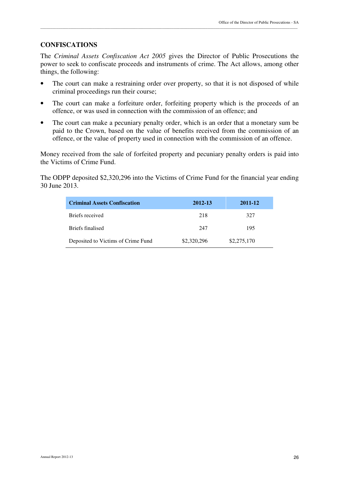#### **CONFISCATIONS**

The *Criminal Assets Confiscation Act 2005* gives the Director of Public Prosecutions the power to seek to confiscate proceeds and instruments of crime. The Act allows, among other things, the following:

\_\_\_\_\_\_\_\_\_\_\_\_\_\_\_\_\_\_\_\_\_\_\_\_\_\_\_\_\_\_\_\_\_\_\_\_\_\_\_\_\_\_\_\_\_\_\_\_\_\_\_\_\_\_\_\_\_\_\_\_\_\_\_\_\_\_\_\_\_\_\_\_\_\_\_\_\_\_\_\_\_\_\_\_\_\_\_\_\_\_\_\_\_\_\_\_\_\_\_\_\_\_\_\_\_\_\_\_\_\_\_\_\_\_\_\_\_\_\_\_\_\_\_\_\_\_\_\_\_

- The court can make a restraining order over property, so that it is not disposed of while criminal proceedings run their course;
- The court can make a forfeiture order, forfeiting property which is the proceeds of an offence, or was used in connection with the commission of an offence; and
- The court can make a pecuniary penalty order, which is an order that a monetary sum be paid to the Crown, based on the value of benefits received from the commission of an offence, or the value of property used in connection with the commission of an offence.

Money received from the sale of forfeited property and pecuniary penalty orders is paid into the Victims of Crime Fund.

The ODPP deposited \$2,320,296 into the Victims of Crime Fund for the financial year ending 30 June 2013.

| <b>Criminal Assets Confiscation</b> | 2012-13     | 2011-12     |
|-------------------------------------|-------------|-------------|
| Briefs received                     | 218         | 327         |
| Briefs finalised                    | 247         | 195         |
| Deposited to Victims of Crime Fund  | \$2,320,296 | \$2,275,170 |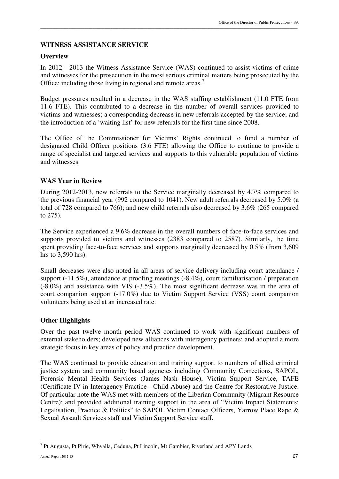### **WITNESS ASSISTANCE SERVICE**

#### **Overview**

In 2012 - 2013 the Witness Assistance Service (WAS) continued to assist victims of crime and witnesses for the prosecution in the most serious criminal matters being prosecuted by the Office; including those living in regional and remote areas.<sup>7</sup>

\_\_\_\_\_\_\_\_\_\_\_\_\_\_\_\_\_\_\_\_\_\_\_\_\_\_\_\_\_\_\_\_\_\_\_\_\_\_\_\_\_\_\_\_\_\_\_\_\_\_\_\_\_\_\_\_\_\_\_\_\_\_\_\_\_\_\_\_\_\_\_\_\_\_\_\_\_\_\_\_\_\_\_\_\_\_\_\_\_\_\_\_\_\_\_\_\_\_\_\_\_\_\_\_\_\_\_\_\_\_\_\_\_\_\_\_\_\_\_\_\_\_\_\_\_\_\_\_\_

Budget pressures resulted in a decrease in the WAS staffing establishment (11.0 FTE from 11.6 FTE). This contributed to a decrease in the number of overall services provided to victims and witnesses; a corresponding decrease in new referrals accepted by the service; and the introduction of a 'waiting list' for new referrals for the first time since 2008.

The Office of the Commissioner for Victims' Rights continued to fund a number of designated Child Officer positions (3.6 FTE) allowing the Office to continue to provide a range of specialist and targeted services and supports to this vulnerable population of victims and witnesses.

#### **WAS Year in Review**

During 2012-2013, new referrals to the Service marginally decreased by 4.7% compared to the previous financial year (992 compared to 1041). New adult referrals decreased by 5.0% (a total of 728 compared to 766); and new child referrals also decreased by 3.6% (265 compared to 275).

The Service experienced a 9.6% decrease in the overall numbers of face-to-face services and supports provided to victims and witnesses (2383 compared to 2587). Similarly, the time spent providing face-to-face services and supports marginally decreased by 0.5% (from 3,609 hrs to 3,590 hrs).

Small decreases were also noted in all areas of service delivery including court attendance / support (-11.5%), attendance at proofing meetings (-8.4%), court familiarisation / preparation (-8.0%) and assistance with VIS (-3.5%). The most significant decrease was in the area of court companion support (-17.0%) due to Victim Support Service (VSS) court companion volunteers being used at an increased rate.

#### **Other Highlights**

Over the past twelve month period WAS continued to work with significant numbers of external stakeholders; developed new alliances with interagency partners; and adopted a more strategic focus in key areas of policy and practice development.

The WAS continued to provide education and training support to numbers of allied criminal justice system and community based agencies including Community Corrections, SAPOL, Forensic Mental Health Services (James Nash House), Victim Support Service, TAFE (Certificate IV in Interagency Practice - Child Abuse) and the Centre for Restorative Justice. Of particular note the WAS met with members of the Liberian Community (Migrant Resource Centre); and provided additional training support in the area of "Victim Impact Statements: Legalisation, Practice & Politics" to SAPOL Victim Contact Officers, Yarrow Place Rape & Sexual Assault Services staff and Victim Support Service staff.

 $\overline{a}$ 

<sup>&</sup>lt;sup>7</sup> Pt Augusta, Pt Pirie, Whyalla, Ceduna, Pt Lincoln, Mt Gambier, Riverland and APY Lands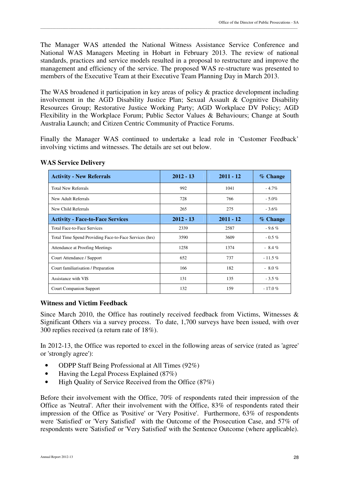The Manager WAS attended the National Witness Assistance Service Conference and National WAS Managers Meeting in Hobart in February 2013. The review of national standards, practices and service models resulted in a proposal to restructure and improve the management and efficiency of the service. The proposed WAS re-structure was presented to members of the Executive Team at their Executive Team Planning Day in March 2013.

\_\_\_\_\_\_\_\_\_\_\_\_\_\_\_\_\_\_\_\_\_\_\_\_\_\_\_\_\_\_\_\_\_\_\_\_\_\_\_\_\_\_\_\_\_\_\_\_\_\_\_\_\_\_\_\_\_\_\_\_\_\_\_\_\_\_\_\_\_\_\_\_\_\_\_\_\_\_\_\_\_\_\_\_\_\_\_\_\_\_\_\_\_\_\_\_\_\_\_\_\_\_\_\_\_\_\_\_\_\_\_\_\_\_\_\_\_\_\_\_\_\_\_\_\_\_\_\_\_

The WAS broadened it participation in key areas of policy & practice development including involvement in the AGD Disability Justice Plan; Sexual Assault & Cognitive Disability Resources Group; Restorative Justice Working Party; AGD Workplace DV Policy; AGD Flexibility in the Workplace Forum; Public Sector Values & Behaviours; Change at South Australia Launch; and Citizen Centric Community of Practice Forums.

Finally the Manager WAS continued to undertake a lead role in 'Customer Feedback' involving victims and witnesses. The details are set out below.

| <b>Activity - New Referrals</b>                        | $2012 - 13$ | $2011 - 12$ | $%$ Change |
|--------------------------------------------------------|-------------|-------------|------------|
| <b>Total New Referrals</b>                             | 992         | 1041        | $-4.7\%$   |
| New Adult Referrals                                    | 728         | 766         | $-5.0\%$   |
| New Child Referrals                                    | 265         | 275         | $-3.6\%$   |
| <b>Activity - Face-to-Face Services</b>                | $2012 - 13$ | $2011 - 12$ | % Change   |
| <b>Total Face-to-Face Services</b>                     | 2339        | 2587        | $-9.6%$    |
| Total Time Spend Providing Face-to-Face Services (hrs) | 3590        | 3609        | $-0.5\%$   |
| Attendance at Proofing Meetings                        | 1258        | 1374        | $-8.4%$    |
| Court Attendance / Support                             | 652         | 737         | $-11.5%$   |
| Court familiarisation / Preparation                    | 166         | 182         | $-8.0%$    |
| Assistance with VIS                                    | 131         | 135         | $-3.5%$    |
| <b>Court Companion Support</b>                         | 132         | 159         | $-17.0%$   |

# **WAS Service Delivery**

# **Witness and Victim Feedback**

Since March 2010, the Office has routinely received feedback from Victims, Witnesses & Significant Others via a survey process. To date, 1,700 surveys have been issued, with over 300 replies received (a return rate of 18%).

In 2012-13, the Office was reported to excel in the following areas of service (rated as 'agree' or 'strongly agree'):

- ODPP Staff Being Professional at All Times (92%)
- Having the Legal Process Explained (87%)
- High Quality of Service Received from the Office (87%)

Before their involvement with the Office, 70% of respondents rated their impression of the Office as 'Neutral'. After their involvement with the Office, 83% of respondents rated their impression of the Office as 'Positive' or 'Very Positive'. Furthermore, 63% of respondents were 'Satisfied' or 'Very Satisfied' with the Outcome of the Prosecution Case, and 57% of respondents were 'Satisfied' or 'Very Satisfied' with the Sentence Outcome (where applicable).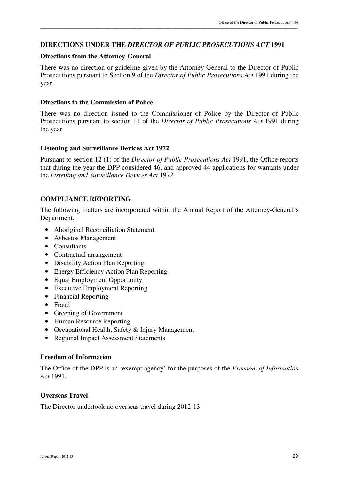### **DIRECTIONS UNDER THE** *DIRECTOR OF PUBLIC PROSECUTIONS ACT* **1991**

#### **Directions from the Attorney-General**

There was no direction or guideline given by the Attorney-General to the Director of Public Prosecutions pursuant to Section 9 of the *Director of Public Prosecutions Act* 1991 during the year.

\_\_\_\_\_\_\_\_\_\_\_\_\_\_\_\_\_\_\_\_\_\_\_\_\_\_\_\_\_\_\_\_\_\_\_\_\_\_\_\_\_\_\_\_\_\_\_\_\_\_\_\_\_\_\_\_\_\_\_\_\_\_\_\_\_\_\_\_\_\_\_\_\_\_\_\_\_\_\_\_\_\_\_\_\_\_\_\_\_\_\_\_\_\_\_\_\_\_\_\_\_\_\_\_\_\_\_\_\_\_\_\_\_\_\_\_\_\_\_\_\_\_\_\_\_\_\_\_\_

#### **Directions to the Commission of Police**

There was no direction issued to the Commissioner of Police by the Director of Public Prosecutions pursuant to section 11 of the *Director of Public Prosecutions Act* 1991 during the year.

#### **Listening and Surveillance Devices Act 1972**

Pursuant to section 12 (1) of the *Director of Public Prosecutions Act* 1991, the Office reports that during the year the DPP considered 46, and approved 44 applications for warrants under the *Listening and Surveillance Devices Act* 1972.

# **COMPLIANCE REPORTING**

The following matters are incorporated within the Annual Report of the Attorney-General's Department.

- Aboriginal Reconciliation Statement
- Asbestos Management
- Consultants
- Contractual arrangement
- Disability Action Plan Reporting
- Energy Efficiency Action Plan Reporting
- Equal Employment Opportunity
- Executive Employment Reporting
- Financial Reporting
- Fraud
- Greening of Government
- Human Resource Reporting
- Occupational Health, Safety & Injury Management
- Regional Impact Assessment Statements

#### **Freedom of Information**

The Office of the DPP is an 'exempt agency' for the purposes of the *Freedom of Information Act* 1991*.* 

#### **Overseas Travel**

The Director undertook no overseas travel during 2012-13.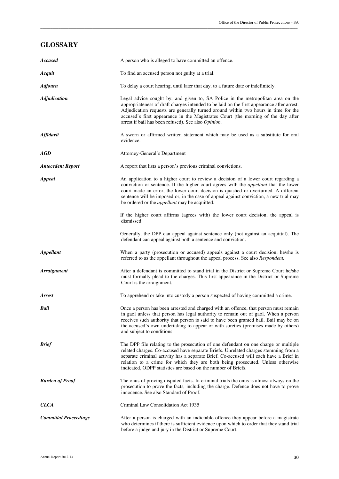#### **GLOSSARY**

| <b>Accused</b>               | A person who is alleged to have committed an offence.                                                                                                                                                                                                                                                                                                                                                                      |
|------------------------------|----------------------------------------------------------------------------------------------------------------------------------------------------------------------------------------------------------------------------------------------------------------------------------------------------------------------------------------------------------------------------------------------------------------------------|
| Acquit                       | To find an accused person not guilty at a trial.                                                                                                                                                                                                                                                                                                                                                                           |
| <b>Adjourn</b>               | To delay a court hearing, until later that day, to a future date or indefinitely.                                                                                                                                                                                                                                                                                                                                          |
| <b>Adjudication</b>          | Legal advice sought by, and given to, SA Police in the metropolitan area on the<br>appropriateness of draft charges intended to be laid on the first appearance after arrest.<br>Adjudication requests are generally turned around within two hours in time for the<br>accused's first appearance in the Magistrates Court (the morning of the day after<br>arrest if bail has been refused). See also Opinion.            |
| Affidavit                    | A sworn or affirmed written statement which may be used as a substitute for oral<br>evidence.                                                                                                                                                                                                                                                                                                                              |
| AGD                          | Attorney-General's Department                                                                                                                                                                                                                                                                                                                                                                                              |
| <b>Antecedent Report</b>     | A report that lists a person's previous criminal convictions.                                                                                                                                                                                                                                                                                                                                                              |
| <b>Appeal</b>                | An application to a higher court to review a decision of a lower court regarding a<br>conviction or sentence. If the higher court agrees with the <i>appellant</i> that the lower<br>court made an error, the lower court decision is quashed or overturned. A different<br>sentence will be imposed or, in the case of appeal against conviction, a new trial may<br>be ordered or the <i>appellant</i> may be acquitted. |
|                              | If the higher court affirms (agrees with) the lower court decision, the appeal is<br>dismissed                                                                                                                                                                                                                                                                                                                             |
|                              | Generally, the DPP can appeal against sentence only (not against an acquittal). The<br>defendant can appeal against both a sentence and conviction.                                                                                                                                                                                                                                                                        |
| <b>Appellant</b>             | When a party (prosecution or accused) appeals against a court decision, he/she is<br>referred to as the appellant throughout the appeal process. See also Respondent.                                                                                                                                                                                                                                                      |
| <b>Arraignment</b>           | After a defendant is committed to stand trial in the District or Supreme Court he/she<br>must formally plead to the charges. This first appearance in the District or Supreme<br>Court is the arraignment.                                                                                                                                                                                                                 |
| <b>Arrest</b>                | To apprehend or take into custody a person suspected of having committed a crime.                                                                                                                                                                                                                                                                                                                                          |
| Bail                         | Once a person has been arrested and charged with an offence, that person must remain<br>in gaol unless that person has legal authority to remain out of gaol. When a person<br>receives such authority that person is said to have been granted bail. Bail may be on<br>the accused's own undertaking to appear or with sureties (promises made by others)<br>and subject to conditions.                                   |
| <b>Brief</b>                 | The DPP file relating to the prosecution of one defendant on one charge or multiple<br>related charges. Co-accused have separate Briefs. Unrelated charges stemming from a<br>separate criminal activity has a separate Brief. Co-accused will each have a Brief in<br>relation to a crime for which they are both being prosecuted. Unless otherwise<br>indicated, ODPP statistics are based on the number of Briefs.     |
| <b>Burden of Proof</b>       | The onus of proving disputed facts. In criminal trials the onus is almost always on the<br>prosecution to prove the facts, including the charge. Defence does not have to prove<br>innocence. See also Standard of Proof.                                                                                                                                                                                                  |
| <b>CLCA</b>                  | Criminal Law Consolidation Act 1935                                                                                                                                                                                                                                                                                                                                                                                        |
| <b>Committal Proceedings</b> | After a person is charged with an indictable offence they appear before a magistrate<br>who determines if there is sufficient evidence upon which to order that they stand trial<br>before a judge and jury in the District or Supreme Court.                                                                                                                                                                              |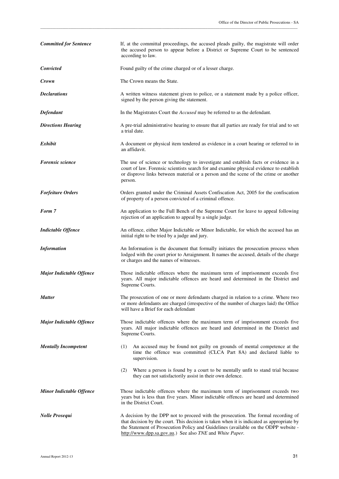| <b>Committed for Sentence</b>   | If, at the committal proceedings, the accused pleads guilty, the magistrate will order<br>the accused person to appear before a District or Supreme Court to be sentenced<br>according to law.                                                                                                                                     |
|---------------------------------|------------------------------------------------------------------------------------------------------------------------------------------------------------------------------------------------------------------------------------------------------------------------------------------------------------------------------------|
| <b>Convicted</b>                | Found guilty of the crime charged or of a lesser charge.                                                                                                                                                                                                                                                                           |
| Crown                           | The Crown means the State.                                                                                                                                                                                                                                                                                                         |
| <b>Declarations</b>             | A written witness statement given to police, or a statement made by a police officer,<br>signed by the person giving the statement.                                                                                                                                                                                                |
| Defendant                       | In the Magistrates Court the <i>Accused</i> may be referred to as the defendant.                                                                                                                                                                                                                                                   |
| <b>Directions Hearing</b>       | A pre-trial administrative hearing to ensure that all parties are ready for trial and to set<br>a trial date.                                                                                                                                                                                                                      |
| Exhibit                         | A document or physical item tendered as evidence in a court hearing or referred to in<br>an affidavit.                                                                                                                                                                                                                             |
| <b>Forensic science</b>         | The use of science or technology to investigate and establish facts or evidence in a<br>court of law. Forensic scientists search for and examine physical evidence to establish<br>or disprove links between material or a person and the scene of the crime or another<br>person.                                                 |
| <b>Forfeiture Orders</b>        | Orders granted under the Criminal Assets Confiscation Act, 2005 for the confiscation<br>of property of a person convicted of a criminal offence.                                                                                                                                                                                   |
| Form 7                          | An application to the Full Bench of the Supreme Court for leave to appeal following<br>rejection of an application to appeal by a single judge.                                                                                                                                                                                    |
| <b>Indictable Offence</b>       | An offence, either Major Indictable or Minor Indictable, for which the accused has an<br>initial right to be tried by a judge and jury.                                                                                                                                                                                            |
| <b>Information</b>              | An Information is the document that formally initiates the prosecution process when<br>lodged with the court prior to Arraignment. It names the accused, details of the charge<br>or charges and the names of witnesses.                                                                                                           |
| <b>Major Indictable Offence</b> | Those indictable offences where the maximum term of imprisonment exceeds five<br>years. All major indictable offences are heard and determined in the District and<br>Supreme Courts.                                                                                                                                              |
| <b>Matter</b>                   | The prosecution of one or more defendants charged in relation to a crime. Where two<br>or more defendants are charged (irrespective of the number of charges laid) the Office<br>will have a Brief for each defendant                                                                                                              |
| <b>Major Indictable Offence</b> | Those indictable offences where the maximum term of imprisonment exceeds five<br>years. All major indictable offences are heard and determined in the District and<br>Supreme Courts.                                                                                                                                              |
| <b>Mentally Incompetent</b>     | An accused may be found not guilty on grounds of mental competence at the<br>(1)<br>time the offence was committed (CLCA Part 8A) and declared liable to<br>supervision.                                                                                                                                                           |
|                                 | Where a person is found by a court to be mentally unfit to stand trial because<br>(2)<br>they can not satisfactorily assist in their own defence.                                                                                                                                                                                  |
| <b>Minor Indictable Offence</b> | Those indictable offences where the maximum term of imprisonment exceeds two<br>years but is less than five years. Minor indictable offences are heard and determined<br>in the District Court.                                                                                                                                    |
| <b>Nolle Prosequi</b>           | A decision by the DPP not to proceed with the prosecution. The formal recording of<br>that decision by the court. This decision is taken when it is indicated as appropriate by<br>the Statement of Prosecution Policy and Guidelines (available on the ODPP website -<br>http://www.dpp.sa.gov.au.) See also TNE and White Paper. |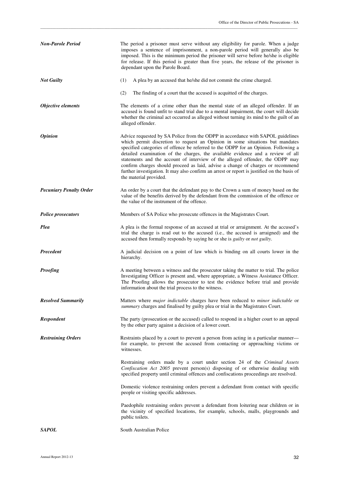| <b>Non-Parole Period</b>       | The period a prisoner must serve without any eligibility for parole. When a judge<br>imposes a sentence of imprisonment, a non-parole period will generally also be<br>imposed. This is the minimum period the prisoner will serve before he/she is eligible<br>for release. If this period is greater than five years, the release of the prisoner is<br>dependant upon the Parole Board.                                                                                                                                                                                                                                              |  |
|--------------------------------|-----------------------------------------------------------------------------------------------------------------------------------------------------------------------------------------------------------------------------------------------------------------------------------------------------------------------------------------------------------------------------------------------------------------------------------------------------------------------------------------------------------------------------------------------------------------------------------------------------------------------------------------|--|
| <b>Not Guilty</b>              | A plea by an accused that he/she did not commit the crime charged.<br>(1)                                                                                                                                                                                                                                                                                                                                                                                                                                                                                                                                                               |  |
|                                | (2)<br>The finding of a court that the accused is acquitted of the charges.                                                                                                                                                                                                                                                                                                                                                                                                                                                                                                                                                             |  |
| Objective elements             | The elements of a crime other than the mental state of an alleged offender. If an<br>accused is found unfit to stand trial due to a mental impairment, the court will decide<br>whether the criminal act occurred as alleged without turning its mind to the guilt of an<br>alleged offender.                                                                                                                                                                                                                                                                                                                                           |  |
| <i><b>Opinion</b></i>          | Advice requested by SA Police from the ODPP in accordance with SAPOL guidelines<br>which permit discretion to request an Opinion in some situations but mandates<br>specified categories of offence be referred to the ODPP for an Opinion. Following a<br>detailed examination of the charges, the available evidence and a review of all<br>statements and the account of interview of the alleged offender, the ODPP may<br>confirm charges should proceed as laid, advise a change of charges or recommend<br>further investigation. It may also confirm an arrest or report is justified on the basis of<br>the material provided. |  |
| <b>Pecuniary Penalty Order</b> | An order by a court that the defendant pay to the Crown a sum of money based on the<br>value of the benefits derived by the defendant from the commission of the offence or<br>the value of the instrument of the offence.                                                                                                                                                                                                                                                                                                                                                                                                              |  |
| <b>Police prosecutors</b>      | Members of SA Police who prosecute offences in the Magistrates Court.                                                                                                                                                                                                                                                                                                                                                                                                                                                                                                                                                                   |  |
| Plea                           | A plea is the formal response of an accused at trial or arraignment. At the accused's<br>trial the charge is read out to the accused (i.e., the accused is arraigned) and the<br>accused then formally responds by saying he or she is <i>guilty</i> or <i>not guilty</i> .                                                                                                                                                                                                                                                                                                                                                             |  |
| Precedent                      | A judicial decision on a point of law which is binding on all courts lower in the<br>hierarchy.                                                                                                                                                                                                                                                                                                                                                                                                                                                                                                                                         |  |
| <b>Proofing</b>                | A meeting between a witness and the prosecutor taking the matter to trial. The police<br>Investigating Officer is present and, where appropriate, a Witness Assistance Officer.<br>The Proofing allows the prosecutor to test the evidence before trial and provide<br>information about the trial process to the witness.                                                                                                                                                                                                                                                                                                              |  |
| <b>Resolved Summarily</b>      | Matters where <i>major indictable</i> charges have been reduced to <i>minor indictable</i> or<br>summary charges and finalised by guilty plea or trial in the Magistrates Court.                                                                                                                                                                                                                                                                                                                                                                                                                                                        |  |
| Respondent                     | The party (prosecution or the accused) called to respond in a higher court to an appeal<br>by the other party against a decision of a lower court.                                                                                                                                                                                                                                                                                                                                                                                                                                                                                      |  |
| <b>Restraining Orders</b>      | Restraints placed by a court to prevent a person from acting in a particular manner—<br>for example, to prevent the accused from contacting or approaching victims or<br>witnesses.                                                                                                                                                                                                                                                                                                                                                                                                                                                     |  |
|                                | Restraining orders made by a court under section 24 of the Criminal Assets<br>Confiscation Act 2005 prevent person(s) disposing of or otherwise dealing with<br>specified property until criminal offences and confiscations proceedings are resolved.                                                                                                                                                                                                                                                                                                                                                                                  |  |
|                                | Domestic violence restraining orders prevent a defendant from contact with specific<br>people or visiting specific addresses.                                                                                                                                                                                                                                                                                                                                                                                                                                                                                                           |  |
|                                | Paedophile restraining orders prevent a defendant from loitering near children or in<br>the vicinity of specified locations, for example, schools, malls, playgrounds and<br>public toilets.                                                                                                                                                                                                                                                                                                                                                                                                                                            |  |
| SAPOL                          | South Australian Police                                                                                                                                                                                                                                                                                                                                                                                                                                                                                                                                                                                                                 |  |